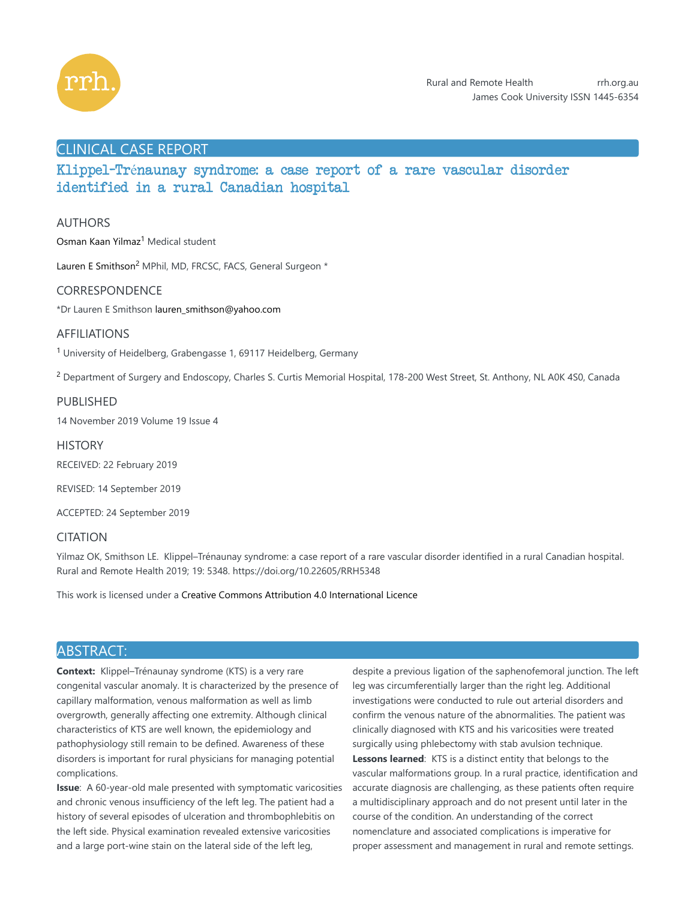

# CLINICAL CASE REPORT

Klippel-Trénaunay syndrome: a case report of a rare vascular disorder identified in a rural Canadian hospital

## AUTHORS

Osman Kaan Yilmaz<sup>1</sup> Medical student

Lauren E Smithson<sup>2</sup> MPhil, MD, FRCSC, FACS, General Surgeon \*

## CORRESPONDENCE

\*Dr Lauren E Smithson lauren\_smithson@yahoo.com

## AFFILIATIONS

<sup>1</sup> University of Heidelberg, Grabengasse 1, 69117 Heidelberg, Germany

 $^2$  Department of Surgery and Endoscopy, Charles S. Curtis Memorial Hospital, 178-200 West Street, St. Anthony, NL A0K 4S0, Canada

## PUBLISHED

14 November 2019 Volume 19 Issue 4

**HISTORY** 

RECEIVED: 22 February 2019

REVISED: 14 September 2019

ACCEPTED: 24 September 2019

# **CITATION**

Yilmaz OK, Smithson LE. Klippel–Trénaunay syndrome: a case report of a rare vascular disorder identified in a rural Canadian hospital. Rural and Remote Health 2019; 19: 5348. https://doi.org/10.22605/RRH5348

This work is licensed under a Creative Commons Attribution 4.0 International Licence

# ABSTRACT:

**Context:** Klippel–Trénaunay syndrome (KTS) is a very rare congenital vascular anomaly. It is characterized by the presence of capillary malformation, venous malformation as well as limb overgrowth, generally affecting one extremity. Although clinical characteristics of KTS are well known, the epidemiology and pathophysiology still remain to be defined. Awareness of these disorders is important for rural physicians for managing potential complications.

**Issue**: A 60-year-old male presented with symptomatic varicosities and chronic venous insufficiency of the left leg. The patient had a history of several episodes of ulceration and thrombophlebitis on the left side. Physical examination revealed extensive varicosities and a large port-wine stain on the lateral side of the left leg,

despite a previous ligation of the saphenofemoral junction. The left leg was circumferentially larger than the right leg. Additional investigations were conducted to rule out arterial disorders and confirm the venous nature of the abnormalities. The patient was clinically diagnosed with KTS and his varicosities were treated surgically using phlebectomy with stab avulsion technique. Lessons learned: KTS is a distinct entity that belongs to the vascular malformations group. In a rural practice, identification and accurate diagnosis are challenging, as these patients often require a multidisciplinary approach and do not present until later in the course of the condition. An understanding of the correct nomenclature and associated complications is imperative for proper assessment and management in rural and remote settings.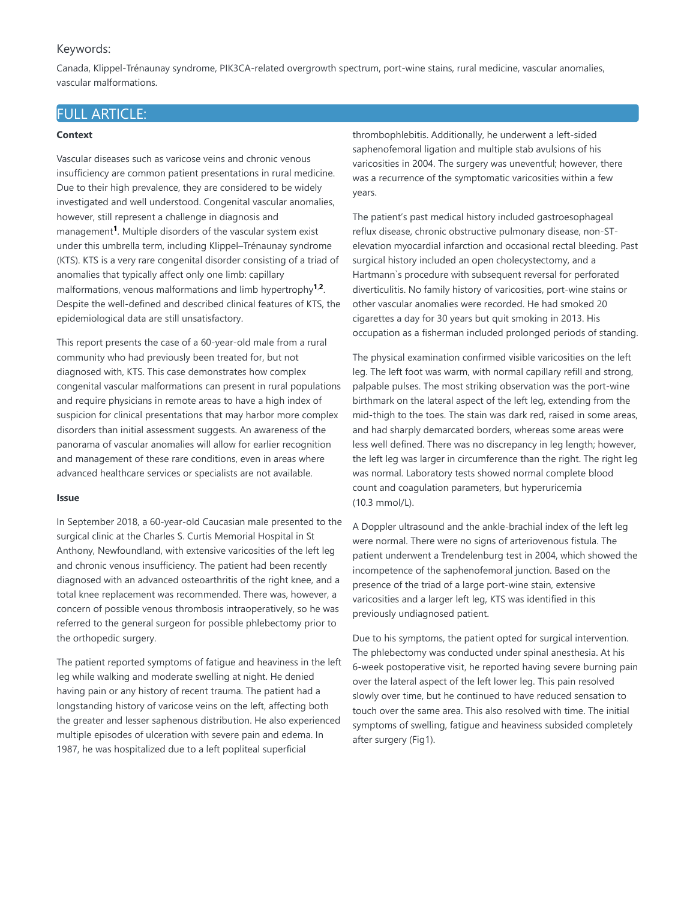## Keywords:

Canada, Klippel-Trénaunay syndrome, PIK3CA-related overgrowth spectrum, port-wine stains, rural medicine, vascular anomalies, vascular malformations.

# FULL ARTICLE:

### **Context**

Vascular diseases such as varicose veins and chronic venous insufficiency are common patient presentations in rural medicine. Due to their high prevalence, they are considered to be widely investigated and well understood. Congenital vascular anomalies, however, still represent a challenge in diagnosis and management<sup>1</sup>. Multiple disorders of the vascular system exist under this umbrella term, including Klippel–Trénaunay syndrome (KTS). KTS is a very rare congenital disorder consisting of a triad of anomalies that typically affect only one limb: capillary malformations, venous malformations and limb hypertrophy<sup>1,2</sup>. Despite the well-defined and described clinical features of KTS, the epidemiological data are still unsatisfactory.

This report presents the case of a 60-year-old male from a rural community who had previously been treated for, but not diagnosed with, KTS. This case demonstrates how complex congenital vascular malformations can present in rural populations and require physicians in remote areas to have a high index of suspicion for clinical presentations that may harbor more complex disorders than initial assessment suggests. An awareness of the panorama of vascular anomalies will allow for earlier recognition and management of these rare conditions, even in areas where advanced healthcare services or specialists are not available.

#### **Issue**

In September 2018, a 60-year-old Caucasian male presented to the surgical clinic at the Charles S. Curtis Memorial Hospital in St Anthony, Newfoundland, with extensive varicosities of the left leg and chronic venous insufficiency. The patient had been recently diagnosed with an advanced osteoarthritis of the right knee, and a total knee replacement was recommended. There was, however, a concern of possible venous thrombosis intraoperatively, so he was referred to the general surgeon for possible phlebectomy prior to the orthopedic surgery.

The patient reported symptoms of fatigue and heaviness in the left leg while walking and moderate swelling at night. He denied having pain or any history of recent trauma. The patient had a longstanding history of varicose veins on the left, affecting both the greater and lesser saphenous distribution. He also experienced multiple episodes of ulceration with severe pain and edema. In 1987, he was hospitalized due to a left popliteal superficial

thrombophlebitis. Additionally, he underwent a left-sided saphenofemoral ligation and multiple stab avulsions of his varicosities in 2004. The surgery was uneventful; however, there was a recurrence of the symptomatic varicosities within a few years.

The patient's past medical history included gastroesophageal reflux disease, chronic obstructive pulmonary disease, non-STelevation myocardial infarction and occasional rectal bleeding. Past surgical history included an open cholecystectomy, and a Hartmann`s procedure with subsequent reversal for perforated diverticulitis. No family history of varicosities, port-wine stains or other vascular anomalies were recorded. He had smoked 20 cigarettes a day for 30 years but quit smoking in 2013. His occupation as a fisherman included prolonged periods of standing.

The physical examination confirmed visible varicosities on the left leg. The left foot was warm, with normal capillary refill and strong, palpable pulses. The most striking observation was the port-wine birthmark on the lateral aspect of the left leg, extending from the mid-thigh to the toes. The stain was dark red, raised in some areas, and had sharply demarcated borders, whereas some areas were less well defined. There was no discrepancy in leg length; however, the left leg was larger in circumference than the right. The right leg was normal. Laboratory tests showed normal complete blood count and coagulation parameters, but hyperuricemia (10.3 mmol/L).

A Doppler ultrasound and the ankle-brachial index of the left leg were normal. There were no signs of arteriovenous fistula. The patient underwent a Trendelenburg test in 2004, which showed the incompetence of the saphenofemoral junction. Based on the presence of the triad of a large port-wine stain, extensive varicosities and a larger left leg, KTS was identified in this previously undiagnosed patient.

Due to his symptoms, the patient opted for surgical intervention. The phlebectomy was conducted under spinal anesthesia. At his 6-week postoperative visit, he reported having severe burning pain over the lateral aspect of the left lower leg. This pain resolved slowly over time, but he continued to have reduced sensation to touch over the same area. This also resolved with time. The initial symptoms of swelling, fatigue and heaviness subsided completely after surgery (Fig1).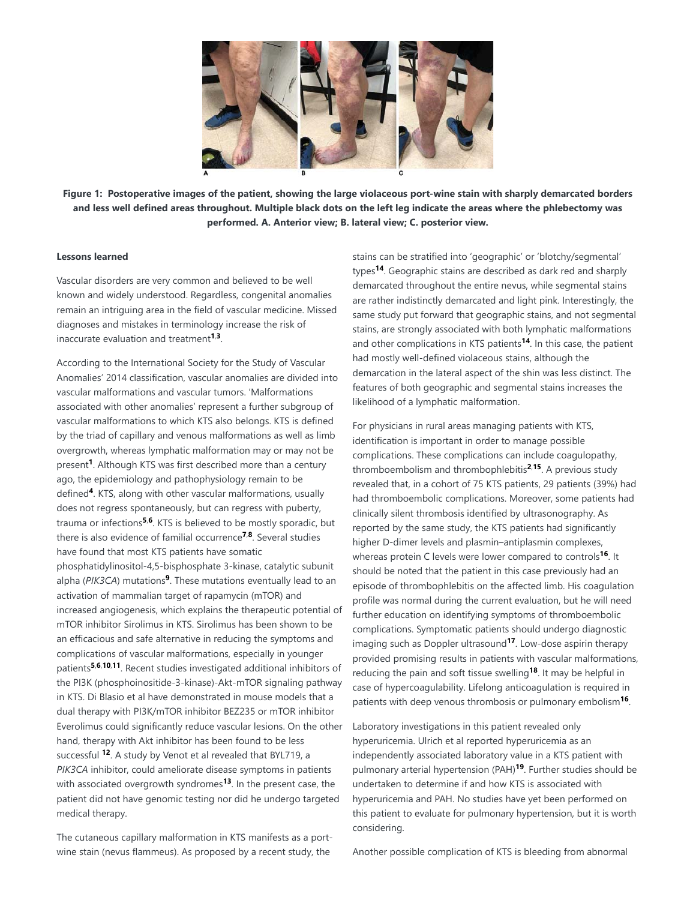

**Figure 1: Postoperative images of the patient, showing the large violaceous port-wine stain with sharply demarcated borders and less well defined areas throughout. Multiple black dots on the left leg indicate the areas where the phlebectomy was performed. A. Anterior view; B. lateral view; C. posterior view.**

## **Lessons learned**

Vascular disorders are very common and believed to be well known and widely understood. Regardless, congenital anomalies remain an intriguing area in the field of vascular medicine. Missed diagnoses and mistakes in terminology increase the risk of inaccurate evaluation and treatment<sup>1,3</sup>.

According to the International Society for the Study of Vascular Anomalies' 2014 classification, vascular anomalies are divided into vascular malformations and vascular tumors. 'Malformations associated with other anomalies' represent a further subgroup of vascular malformations to which KTS also belongs. KTS is defined by the triad of capillary and venous malformations as well as limb overgrowth, whereas lymphatic malformation may or may not be present<sup>1</sup>. Although KTS was first described more than a century ago, the epidemiology and pathophysiology remain to be defined<sup>4</sup>. KTS, along with other vascular malformations, usually does not regress spontaneously, but can regress with puberty, trauma or infections<sup>5,6</sup>. KTS is believed to be mostly sporadic, but there is also evidence of familial occurrence<sup>7,8</sup>. Several studies have found that most KTS patients have somatic phosphatidylinositol-4,5-bisphosphate 3-kinase, catalytic subunit alpha (PIK3CA) mutations<sup>9</sup>. These mutations eventually lead to an activation of mammalian target of rapamycin (mTOR) and increased angiogenesis, which explains the therapeutic potential of mTOR inhibitor Sirolimus in KTS. Sirolimus has been shown to be an efficacious and safe alternative in reducing the symptoms and complications of vascular malformations, especially in younger patients<sup>5,6,10,11</sup>. Recent studies investigated additional inhibitors of the PI3K (phosphoinositide-3-kinase)-Akt-mTOR signaling pathway in KTS. Di Blasio et al have demonstrated in mouse models that a dual therapy with PI3K/mTOR inhibitor BEZ235 or mTOR inhibitor Everolimus could significantly reduce vascular lesions. On the other hand, therapy with Akt inhibitor has been found to be less successful <sup>12</sup>. A study by Venot et al revealed that BYL719, a *PIK3CA* inhibitor, could ameliorate disease symptoms in patients with associated overgrowth syndromes<sup>13</sup>. In the present case, the patient did not have genomic testing nor did he undergo targeted medical therapy.

The cutaneous capillary malformation in KTS manifests as a portwine stain (nevus flammeus). As proposed by a recent study, the

stains can be stratified into 'geographic' or 'blotchy/segmental' types<sup>14</sup>. Geographic stains are described as dark red and sharply demarcated throughout the entire nevus, while segmental stains are rather indistinctly demarcated and light pink. Interestingly, the same study put forward that geographic stains, and not segmental stains, are strongly associated with both lymphatic malformations and other complications in KTS patients<sup>14</sup>. In this case, the patient had mostly well-defined violaceous stains, although the demarcation in the lateral aspect of the shin was less distinct. The features of both geographic and segmental stains increases the likelihood of a lymphatic malformation.

For physicians in rural areas managing patients with KTS, identification is important in order to manage possible complications. These complications can include coagulopathy, thromboembolism and thrombophlebitis<sup>2,15</sup>. A previous study revealed that, in a cohort of 75 KTS patients, 29 patients (39%) had had thromboembolic complications. Moreover, some patients had clinically silent thrombosis identified by ultrasonography. As reported by the same study, the KTS patients had significantly higher D-dimer levels and plasmin–antiplasmin complexes, whereas protein C levels were lower compared to controls<sup>16</sup>. It should be noted that the patient in this case previously had an episode of thrombophlebitis on the affected limb. His coagulation profile was normal during the current evaluation, but he will need further education on identifying symptoms of thromboembolic complications. Symptomatic patients should undergo diagnostic imaging such as Doppler ultrasound<sup>17</sup>. Low-dose aspirin therapy provided promising results in patients with vascular malformations, reducing the pain and soft tissue swelling<sup>18</sup>. It may be helpful in case of hypercoagulability. Lifelong anticoagulation is required in patients with deep venous thrombosis or pulmonary embolism<sup>16</sup>.

Laboratory investigations in this patient revealed only hyperuricemia. Ulrich et al reported hyperuricemia as an independently associated laboratory value in a KTS patient with pulmonary arterial hypertension (PAH)<sup>19</sup>. Further studies should be undertaken to determine if and how KTS is associated with hyperuricemia and PAH. No studies have yet been performed on this patient to evaluate for pulmonary hypertension, but it is worth considering.

Another possible complication of KTS is bleeding from abnormal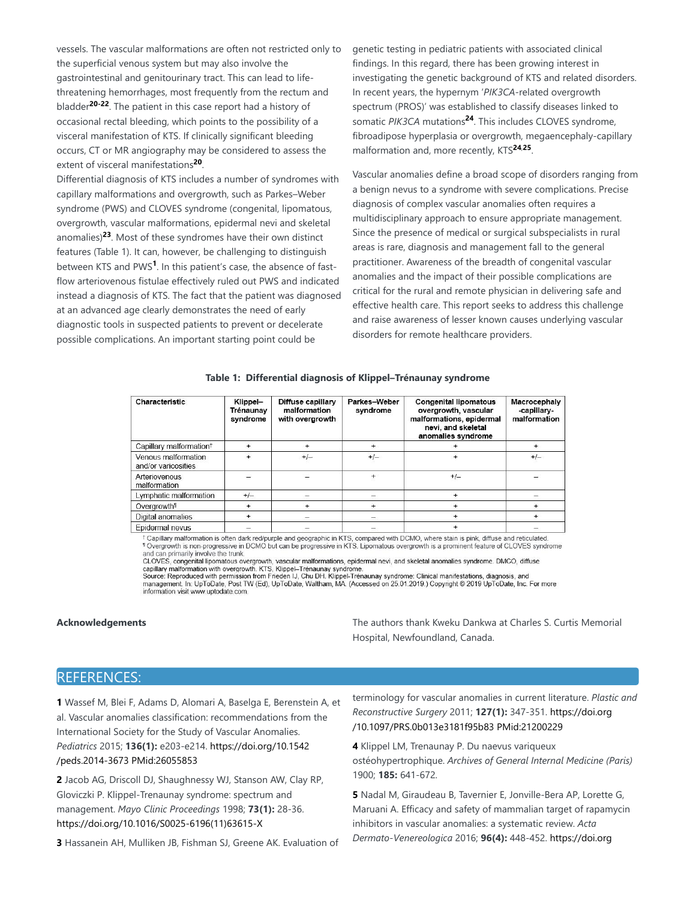vessels. The vascular malformations are often not restricted only to the superficial venous system but may also involve the gastrointestinal and genitourinary tract. This can lead to lifethreatening hemorrhages, most frequently from the rectum and bladder<sup>20-22</sup>. The patient in this case report had a history of occasional rectal bleeding, which points to the possibility of a visceral manifestation of KTS. If clinically significant bleeding occurs, CT or MR angiography may be considered to assess the extent of visceral manifestations<sup>20</sup>.

Differential diagnosis of KTS includes a number of syndromes with capillary malformations and overgrowth, such as Parkes–Weber syndrome (PWS) and CLOVES syndrome (congenital, lipomatous, overgrowth, vascular malformations, epidermal nevi and skeletal anomalies)<sup>23</sup>. Most of these syndromes have their own distinct features (Table 1). It can, however, be challenging to distinguish between KTS and PWS<sup>1</sup>. In this patient's case, the absence of fastflow arteriovenous fistulae effectively ruled out PWS and indicated instead a diagnosis of KTS. The fact that the patient was diagnosed at an advanced age clearly demonstrates the need of early diagnostic tools in suspected patients to prevent or decelerate possible complications. An important starting point could be

genetic testing in pediatric patients with associated clinical findings. In this regard, there has been growing interest in investigating the genetic background of KTS and related disorders. In recent years, the hypernym '*PIK3CA*-related overgrowth spectrum (PROS)' was established to classify diseases linked to somatic PIK3CA mutations<sup>24</sup>. This includes CLOVES syndrome, fibroadipose hyperplasia or overgrowth, megaencephaly-capillary malformation and, more recently, KTS<sup>24,25</sup>.

Vascular anomalies define a broad scope of disorders ranging from a benign nevus to a syndrome with severe complications. Precise diagnosis of complex vascular anomalies often requires a multidisciplinary approach to ensure appropriate management. Since the presence of medical or surgical subspecialists in rural areas is rare, diagnosis and management fall to the general practitioner. Awareness of the breadth of congenital vascular anomalies and the impact of their possible complications are critical for the rural and remote physician in delivering safe and effective health care. This report seeks to address this challenge and raise awareness of lesser known causes underlying vascular disorders for remote healthcare providers.

#### **Table 1: Differential diagnosis of Klippel–Trénaunay syndrome**

| Characteristic                             | Klippel-<br>Trénaunay<br>syndrome | Diffuse capillary<br>malformation<br>with overgrowth | Parkes-Weber<br>syndrome | <b>Congenital lipomatous</b><br>overgrowth, vascular<br>malformations, epidermal<br>nevi, and skeletal<br>anomalies syndrome | Macrocephaly<br>-capillary-<br>malformation |
|--------------------------------------------|-----------------------------------|------------------------------------------------------|--------------------------|------------------------------------------------------------------------------------------------------------------------------|---------------------------------------------|
| Capillary malformation <sup>†</sup>        | $+$                               |                                                      | $+$                      |                                                                                                                              | $\ddot{}$                                   |
| Venous malformation<br>and/or varicosities | $+$                               | $+/-$                                                | $+/-$                    |                                                                                                                              | $+/-$                                       |
| Arteriovenous<br>malformation              |                                   |                                                      | $\ddot{}$                | $+/-$                                                                                                                        |                                             |
| Lymphatic malformation                     | $+/-$                             |                                                      |                          |                                                                                                                              |                                             |
| Overgrowth <sup>11</sup>                   | $+$                               | $\ddot{}$                                            | $+$                      | $+$                                                                                                                          |                                             |
| Digital anomalies                          | $\ddot{}$                         |                                                      |                          |                                                                                                                              |                                             |
| Epidermal nevus                            |                                   |                                                      |                          |                                                                                                                              |                                             |

+ Capillary malformation is often dark red/purple and geographic in KTS, compared with DCMO, where stain is pink, diffuse and reticulated. Tovergrowth is non-progressive in DCMO but can be progressive in KTS. Lipomatous overgrowth is a prominent feature of CLOVES syndrome<br>and can primarily involve the trunk.

and can primarily involve the train.<br>CLOVES, congenital lipomatous overgrowth, vascular malformations, epidermal nevi, and skeletal anomalies syndrome. DMCO, diffuse<br>capillary malformation with overgrowth. KTS, Klippel–Tré

information visit www.uptodate.com

**Acknowledgements The authors thank Kweku Dankwa at Charles S. Curtis Memorial** The authors thank Kweku Dankwa at Charles S. Curtis Memorial Hospital, Newfoundland, Canada.

# REFERENCES:

**1** Wassef M, Blei F, Adams D, Alomari A, Baselga E, Berenstein A, et al. Vascular anomalies classification: recommendations from the International Society for the Study of Vascular Anomalies. *Pediatrics* 2015; **136(1):** e203-e214. https://doi.org/10.1542 /peds.2014-3673 PMid:26055853

**2** Jacob AG, Driscoll DJ, Shaughnessy WJ, Stanson AW, Clay RP, Gloviczki P. Klippel-Trenaunay syndrome: spectrum and management. *Mayo Clinic Proceedings* 1998; **73(1):** 28-36. https://doi.org/10.1016/S0025-6196(11)63615-X

**3** Hassanein AH, Mulliken JB, Fishman SJ, Greene AK. Evaluation of

terminology for vascular anomalies in current literature. *Plastic and Reconstructive Surgery* 2011; **127(1):** 347-351. https://doi.org /10.1097/PRS.0b013e3181f95b83 PMid:21200229

**4** Klippel LM, Trenaunay P. Du naevus variqueux ostéohypertrophique. *Archives of General Internal Medicine (Paris)* 1900; **185:** 641-672.

**5** Nadal M, Giraudeau B, Tavernier E, Jonville-Bera AP, Lorette G, Maruani A. Efficacy and safety of mammalian target of rapamycin inhibitors in vascular anomalies: a systematic review. *Acta Dermato-Venereologica* 2016; **96(4):** 448-452. https://doi.org